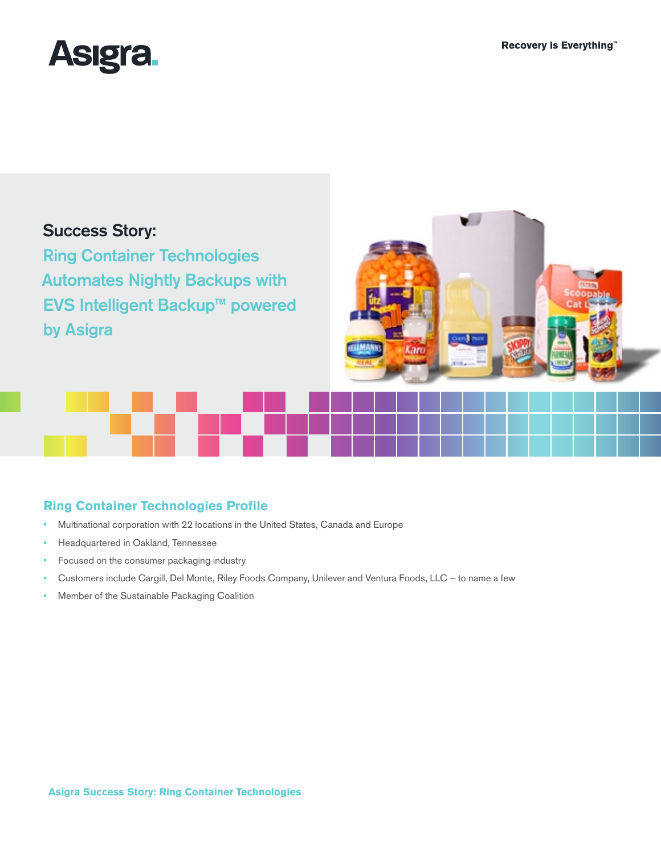

# Success Story:

Ring Container Technologies Automates Nightly Backups with EVS Intelligent Backup™ powered by Asigra



# **Ring Container Technologies Profile**

- **•**  Multinational corporation with 22 locations in the United States, Canada and Europe
- **•**  Headquartered in Oakland, Tennessee
- Focused on the consumer packaging industry
- Customers include Cargill, Del Monte, Riley Foods Company, Unilever and Ventura Foods, LLC to name a few
- **Member of the Sustainable Packaging Coalition**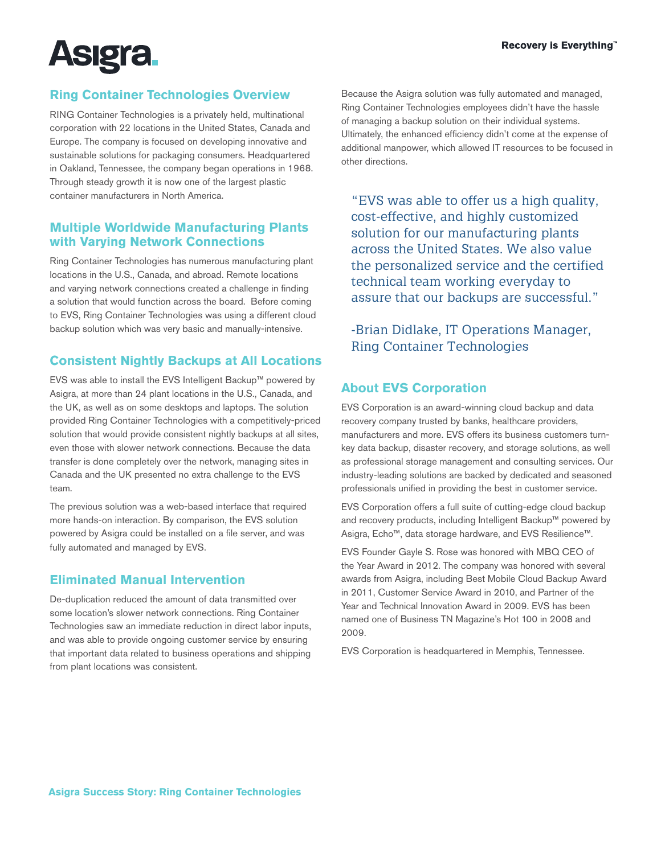

# **Ring Container Technologies Overview**

RING Container Technologies is a privately held, multinational corporation with 22 locations in the United States, Canada and Europe. The company is focused on developing innovative and sustainable solutions for packaging consumers. Headquartered in Oakland, Tennessee, the company began operations in 1968. Through steady growth it is now one of the largest plastic container manufacturers in North America.

#### **Multiple Worldwide Manufacturing Plants with Varying Network Connections**

Ring Container Technologies has numerous manufacturing plant locations in the U.S., Canada, and abroad. Remote locations and varying network connections created a challenge in finding a solution that would function across the board. Before coming to EVS, Ring Container Technologies was using a different cloud backup solution which was very basic and manually-intensive.

# **Consistent Nightly Backups at All Locations**

EVS was able to install the EVS Intelligent Backup™ powered by Asigra, at more than 24 plant locations in the U.S., Canada, and the UK, as well as on some desktops and laptops. The solution provided Ring Container Technologies with a competitively-priced solution that would provide consistent nightly backups at all sites, even those with slower network connections. Because the data transfer is done completely over the network, managing sites in Canada and the UK presented no extra challenge to the EVS team.

The previous solution was a web-based interface that required more hands-on interaction. By comparison, the EVS solution powered by Asigra could be installed on a file server, and was fully automated and managed by EVS.

#### **Eliminated Manual Intervention**

De-duplication reduced the amount of data transmitted over some location's slower network connections. Ring Container Technologies saw an immediate reduction in direct labor inputs, and was able to provide ongoing customer service by ensuring that important data related to business operations and shipping from plant locations was consistent.

Because the Asigra solution was fully automated and managed, Ring Container Technologies employees didn't have the hassle of managing a backup solution on their individual systems. Ultimately, the enhanced efficiency didn't come at the expense of additional manpower, which allowed IT resources to be focused in other directions.

"EVS was able to offer us a high quality, cost-effective, and highly customized solution for our manufacturing plants across the United States. We also value the personalized service and the certified technical team working everyday to assure that our backups are successful."

-Brian Didlake, IT Operations Manager, Ring Container Technologies

# **About EVS Corporation**

EVS Corporation is an award-winning cloud backup and data recovery company trusted by banks, healthcare providers, manufacturers and more. EVS offers its business customers turnkey data backup, disaster recovery, and storage solutions, as well as professional storage management and consulting services. Our industry-leading solutions are backed by dedicated and seasoned professionals unified in providing the best in customer service.

EVS Corporation offers a full suite of cutting-edge cloud backup and recovery products, including Intelligent Backup™ powered by Asigra, Echo™, data storage hardware, and EVS Resilience™.

EVS Founder Gayle S. Rose was honored with MBQ CEO of the Year Award in 2012. The company was honored with several awards from Asigra, including Best Mobile Cloud Backup Award in 2011, Customer Service Award in 2010, and Partner of the Year and Technical Innovation Award in 2009. EVS has been named one of Business TN Magazine's Hot 100 in 2008 and 2009.

EVS Corporation is headquartered in Memphis, Tennessee.